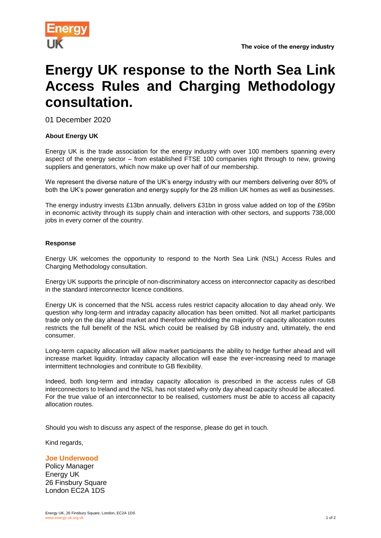

## **Energy UK response to the North Sea Link Access Rules and Charging Methodology consultation.**

01 December 2020

## **About Energy UK**

Energy UK is the trade association for the energy industry with over 100 members spanning every aspect of the energy sector – from established FTSE 100 companies right through to new, growing suppliers and generators, which now make up over half of our membership.

We represent the diverse nature of the UK's energy industry with our members delivering over 80% of both the UK's power generation and energy supply for the 28 million UK homes as well as businesses.

The energy industry invests £13bn annually, delivers £31bn in gross value added on top of the £95bn in economic activity through its supply chain and interaction with other sectors, and supports 738,000 jobs in every corner of the country.

## **Response**

Energy UK welcomes the opportunity to respond to the North Sea Link (NSL) Access Rules and Charging Methodology consultation.

Energy UK supports the principle of non-discriminatory access on interconnector capacity as described in the standard interconnector licence conditions.

Energy UK is concerned that the NSL access rules restrict capacity allocation to day ahead only. We question why long-term and intraday capacity allocation has been omitted. Not all market participants trade only on the day ahead market and therefore withholding the majority of capacity allocation routes restricts the full benefit of the NSL which could be realised by GB industry and, ultimately, the end consumer.

Long-term capacity allocation will allow market participants the ability to hedge further ahead and will increase market liquidity. Intraday capacity allocation will ease the ever-increasing need to manage intermittent technologies and contribute to GB flexibility.

Indeed, both long-term and intraday capacity allocation is prescribed in the access rules of GB interconnectors to Ireland and the NSL has not stated why only day ahead capacity should be allocated. For the true value of an interconnector to be realised, customers must be able to access all capacity allocation routes.

Should you wish to discuss any aspect of the response, please do get in touch.

Kind regards,

## **Joe Underwood**

Policy Manager Energy UK 26 Finsbury Square London EC2A 1DS